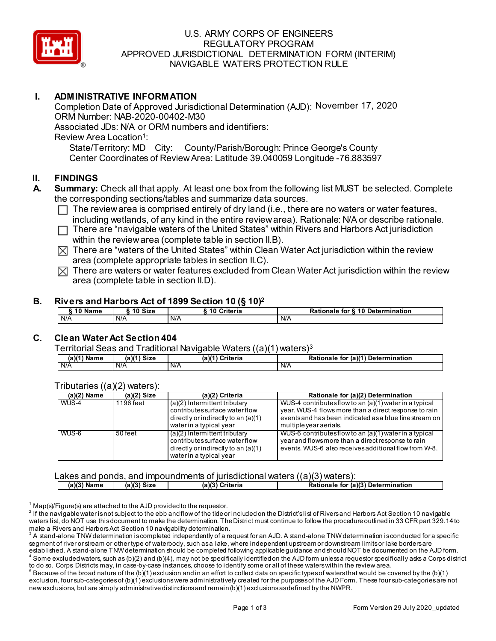

## U.S. ARMY CORPS OF ENGINEERS REGULATORY PROGRAM APPROVED JURISDICTIONAL DETERMINATION FORM (INTERIM) NAVIGABLE WATERS PROTECTION RULE

# **I. ADMINISTRATIVE INFORMATION**

Completion Date of Approved Jurisdictional Determination (AJD): November 17, 2020ORM Number: NAB-2020-00402-M30 Associated JDs: N/A or ORM numbers and identifiers: Review Area Location<sup>1</sup>:

State/Territory: MD City: County/Parish/Borough: Prince George's County Center Coordinates of Review Area: Latitude 39.040059 Longitude -76.883597

## **II. FINDINGS**

- **A. Summary:** Check all that apply. At least one box from the following list MUST be selected. Complete the corresponding sections/tables and summarize data sources.
	- $\Box$  The review area is comprised entirely of dry land (i.e., there are no waters or water features, including wetlands, of any kind in the entire review area). Rationale: N/A or describe rationale.
	- There are "navigable waters of the United States" within Rivers and Harbors Act jurisdiction  $\Box$ within the review area (complete table in section II.B).
	- $\boxtimes$  There are "waters of the United States" within Clean Water Act jurisdiction within the review area (complete appropriate tables in section II.C).
	- $\boxtimes$  There are waters or water features excluded from Clean Water Act jurisdiction within the review area (complete table in section II.D).

#### **B. Rivers and Harbors Act of 1899 Section 10 (§ 10)2**

| 10 Name    | 10 Size | Criteria<br>10 | for § 10 Determination<br>Rationale |
|------------|---------|----------------|-------------------------------------|
| N/A<br>N/A |         | IN/A           | N/A                                 |

# **C. Clean Water Act Section 404**

Territorial Seas and Traditional Navigable Waters ((a)(1) waters)3

| $(a)(1)$ Name | (a)(1) Size | (a)(1`<br>Criteria |     | (a)(1) Determination<br>Rationale<br>for |
|---------------|-------------|--------------------|-----|------------------------------------------|
| N/A           | N/A         | IN/A               | N/A |                                          |

| (a)(2) Name | (a)(2) $Si\overline{ze}$ | (a)(2) Criteria                                                                                                                       | Rationale for (a)(2) Determination                                                                                                                                                                  |
|-------------|--------------------------|---------------------------------------------------------------------------------------------------------------------------------------|-----------------------------------------------------------------------------------------------------------------------------------------------------------------------------------------------------|
| WUS-4       | 1196 feet                | $(a)(2)$ Intermittent tributary<br>contributes surface water flow<br>directly or indirectly to an $(a)(1)$<br>water in a typical year | WUS-4 contributes flow to an (a)(1) water in a typical<br>year. WUS-4 flows more than a direct response to rain<br>events and has been indicated as a blue line stream on<br>multiple vear aerials. |
| WUS-6       | 50 feet                  | $(a)(2)$ Intermittent tributary<br>contributes surface water flow<br>directly or indirectly to an $(a)(1)$<br>water in a typical year | WUS-6 contributes flow to an $(a)(1)$ water in a typical<br>year and flows more than a direct response to rain<br>events. WUS-6 also receives additional flow from W-8.                             |

Tributaries ((a)(2) waters):

Lakes and ponds, and impoundments of jurisdictional waters  $((a)(3)$  waters):

| ้3) Name | $(a)(3)$ Size | (a)(3)<br>Criteria | Rationale for (a)(3) Determination |
|----------|---------------|--------------------|------------------------------------|
|          |               |                    |                                    |

 $1$  Map(s)/Figure(s) are attached to the AJD provided to the requestor.

 $^2$  If the navigable water is not subject to the ebb and flow of the tide or included on the District's list of Rivers and Harbors Act Section 10 navigable waters list, do NOT use this document to make the determination. The District must continue to follow the procedure outlined in 33 CFR part 329.14 to make a Rivers and Harbors Act Section 10 navigability determination.

to do so. Corps Districts may, in case-by-case instances, choose to identify some or all of these waters within the review area.  $^5$  Because of the broad nature of the (b)(1) exclusion and in an effort to collect data on specific types of waters that would be covered by the (b)(1) exclusion, four sub-categories of (b)(1) exclusionswere administratively created for the purposes of the AJD Form. These four sub-categories are not new exclusions, but are simply administrative distinctions and remain (b)(1) exclusions as defined by the NWPR.

 $^{\rm 3}$  A stand-alone TNW determination is completed independently of a request for an AJD. A stand-alone TNW determination is conducted for a specific segment of river or stream or other type of waterbody, such as a lake, where independent upstream or downstream limits or lake borders are established. A stand-alone TNW determination should be completed following applicable guidance and should NOT be documented on the AJD form.  $^4$  Some excluded waters, such as (b)(2) and (b)(4), may not be specifically identified on the AJD form unless a requestor specifically asks a Corps district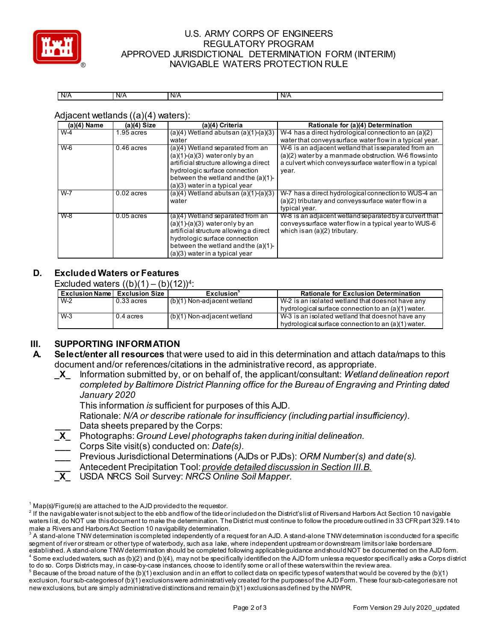

# U.S. ARMY CORPS OF ENGINEERS REGULATORY PROGRAM APPROVED JURISDICTIONAL DETERMINATION FORM (INTERIM) NAVIGABLE WATERS PROTECTION RULE

| N/A<br>. | N/A | N/A | N/A |
|----------|-----|-----|-----|

Adjacent wetlands ((a)(4) waters):

| $(a)(4)$ Name | (a)(4) Size  | (a)(4) Criteria                                                                                                                                                                                                               | Rationale for (a)(4) Determination                                                                                                               |
|---------------|--------------|-------------------------------------------------------------------------------------------------------------------------------------------------------------------------------------------------------------------------------|--------------------------------------------------------------------------------------------------------------------------------------------------|
| $W-4$         | $.95$ acres  | $(a)(4)$ Wetland abuts an $(a)(1)-(a)(3)$                                                                                                                                                                                     | W-4 has a direct hydrological connection to an $(a)(2)$                                                                                          |
|               |              | water                                                                                                                                                                                                                         | water that conveys surface water flow in a typical year.                                                                                         |
| $W-6$         | $0.46$ acres | (a)(4) Wetland separated from an                                                                                                                                                                                              | W-6 is an adjacent wetland that is separated from an                                                                                             |
|               |              | $(a)(1)-(a)(3)$ water only by an<br>artificial structure allowing a direct                                                                                                                                                    | $(a)(2)$ water by a manmade obstruction. W-6 flows into<br>a culvert which conveys surface water flow in a typical                               |
|               |              | hydrologic surface connection<br>between the wetland and the $(a)(1)$ -                                                                                                                                                       | year.                                                                                                                                            |
|               |              | $(a)(3)$ water in a typical year                                                                                                                                                                                              |                                                                                                                                                  |
| $W-7$         | $0.02$ acres | $(a)(4)$ Wetland abutsan $(a)(1)-(a)(3)$<br>water                                                                                                                                                                             | W-7 has a direct hydrological connection to WUS-4 an<br>(a)(2) tributary and conveys surface water flow in a<br>typical year.                    |
| $W-8$         | $0.05$ acres | (a)(4) Wetland separated from an<br>$(a)(1)-(a)(3)$ water only by an<br>artificial structure allowing a direct<br>hydrologic surface connection<br>between the wetland and the $(a)(1)$ -<br>$(a)(3)$ water in a typical year | W-8 is an adjacent wetland separated by a culvert that<br>conveys surface water flow in a typical year to WUS-6<br>which is an (a)(2) tributary. |

#### **D. Excluded Waters or Features**

Excluded waters  $((b)(1) - (b)(12))^4$ :

| <b>Exclusion Name   Exclusion Size  </b> |              | Exclusion $^{\circ}$          | <b>Rationale for Exclusion Determination</b>        |
|------------------------------------------|--------------|-------------------------------|-----------------------------------------------------|
| W-2                                      | $0.33$ acres | (b)(1) Non-adjacent wetland   | W-2 is an isolated wetland that does not have any   |
|                                          |              |                               | hydrological surface connection to an (a)(1) water. |
| $W-3$                                    | $0.4$ acres  | $(b)(1)$ Non-adjacent wetland | W-3 is an isolated wetland that does not have any   |
|                                          |              |                               | hydrological surface connection to an (a)(1) water. |

# **III. SUPPORTING INFORMATION**

- **A. Select/enter all resources** that were used to aid in this determination and attach data/maps to this document and/or references/citations in the administrative record, as appropriate.
	- **\_X\_** Information submitted by, or on behalf of, the applicant/consultant: *Wetland delineation report completed by Baltimore District Planning office for the Bureau of Engraving and Printing dated January 2020*

This information *is* sufficient for purposes of this AJD.

Rationale: *N/A or describe rationale for insufficiency (including partial insufficiency).* **\_\_\_** Data sheets prepared by the Corps:

- **\_X\_** Photographs:*Ground Level photographs taken during initial delineation.*
- **\_\_\_** Corps Site visit(s) conducted on: *Date(s).*
- **\_\_\_** Previous Jurisdictional Determinations (AJDs or PJDs): *ORM Number(s) and date(s).*
- **\_\_\_** Antecedent Precipitation Tool: *provide detailed discussion in Section III.B.*
- **\_X\_** USDA NRCS Soil Survey: *NRCS Online Soil Mapper.*

 $1$  Map(s)/Figure(s) are attached to the AJD provided to the requestor.

 $^2$  If the navigable water is not subject to the ebb and flow of the tide or included on the District's list of Rivers and Harbors Act Section 10 navigable waters list, do NOT use this document to make the determination. The District must continue to follow the procedure outlined in 33 CFR part 329.14 to make a Rivers and Harbors Act Section 10 navigability determination.

 $^{\rm 3}$  A stand-alone TNW determination is completed independently of a request for an AJD. A stand-alone TNW determination is conducted for a specific segment of river or stream or other type of waterbody, such as a lake, where independent upstream or downstream limits or lake borders are established. A stand-alone TNW determination should be completed following applicable guidance and should NOT be documented on the AJD form.

 $^4$  Some excluded waters, such as (b)(2) and (b)(4), may not be specifically identified on the AJD form unless a requestor specifically asks a Corps district to do so. Corps Districts may, in case-by-case instances, choose to identify some or all of these waters within the review area.

 $^5$  Because of the broad nature of the (b)(1) exclusion and in an effort to collect data on specific types of waters that would be covered by the (b)(1) exclusion, four sub-categories of (b)(1) exclusionswere administratively created for the purposes of the AJD Form. These four sub-categories are not new exclusions, but are simply administrative distinctions and remain (b)(1) exclusions as defined by the NWPR.